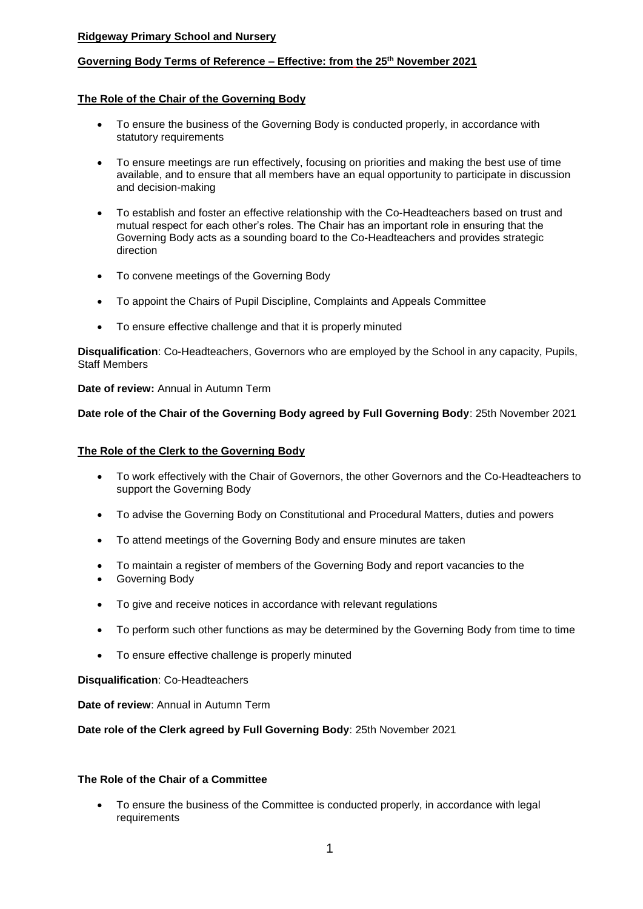# **Ridgeway Primary School and Nursery**

# **Governing Body Terms of Reference – Effective: from the 25th November 2021**

## **The Role of the Chair of the Governing Body**

- To ensure the business of the Governing Body is conducted properly, in accordance with statutory requirements
- To ensure meetings are run effectively, focusing on priorities and making the best use of time available, and to ensure that all members have an equal opportunity to participate in discussion and decision-making
- To establish and foster an effective relationship with the Co-Headteachers based on trust and mutual respect for each other's roles. The Chair has an important role in ensuring that the Governing Body acts as a sounding board to the Co-Headteachers and provides strategic direction
- To convene meetings of the Governing Body
- To appoint the Chairs of Pupil Discipline, Complaints and Appeals Committee
- To ensure effective challenge and that it is properly minuted

**Disqualification**: Co-Headteachers, Governors who are employed by the School in any capacity, Pupils, Staff Members

**Date of review:** Annual in Autumn Term

**Date role of the Chair of the Governing Body agreed by Full Governing Body**: 25th November 2021

#### **The Role of the Clerk to the Governing Body**

- To work effectively with the Chair of Governors, the other Governors and the Co-Headteachers to support the Governing Body
- To advise the Governing Body on Constitutional and Procedural Matters, duties and powers
- To attend meetings of the Governing Body and ensure minutes are taken
- To maintain a register of members of the Governing Body and report vacancies to the
- Governing Body
- To give and receive notices in accordance with relevant regulations
- To perform such other functions as may be determined by the Governing Body from time to time
- To ensure effective challenge is properly minuted

#### **Disqualification**: Co-Headteachers

**Date of review**: Annual in Autumn Term

#### **Date role of the Clerk agreed by Full Governing Body**: 25th November 2021

# **The Role of the Chair of a Committee**

 To ensure the business of the Committee is conducted properly, in accordance with legal requirements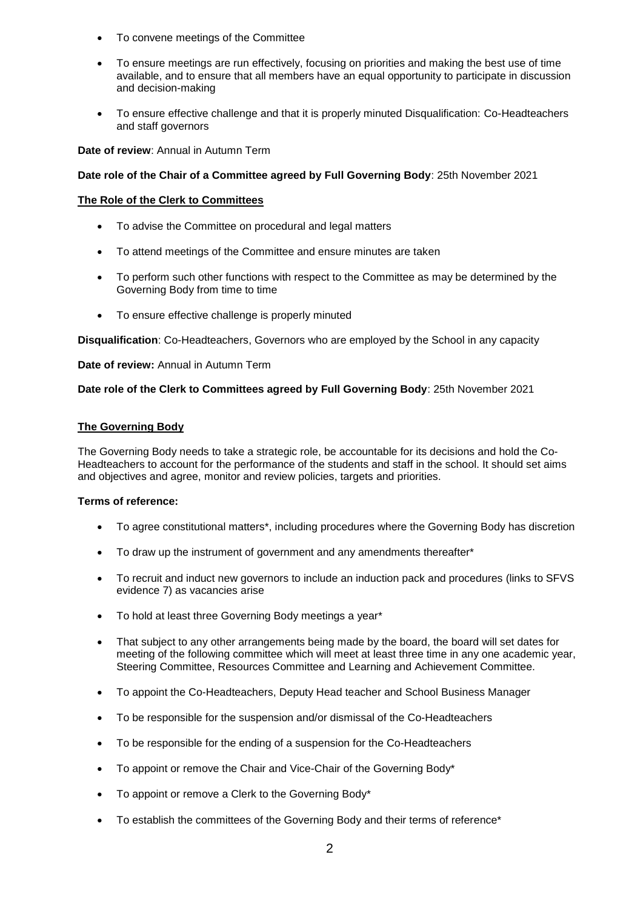- To convene meetings of the Committee
- To ensure meetings are run effectively, focusing on priorities and making the best use of time available, and to ensure that all members have an equal opportunity to participate in discussion and decision-making
- To ensure effective challenge and that it is properly minuted Disqualification: Co-Headteachers and staff governors

**Date of review**: Annual in Autumn Term

## **Date role of the Chair of a Committee agreed by Full Governing Body**: 25th November 2021

### **The Role of the Clerk to Committees**

- To advise the Committee on procedural and legal matters
- To attend meetings of the Committee and ensure minutes are taken
- To perform such other functions with respect to the Committee as may be determined by the Governing Body from time to time
- To ensure effective challenge is properly minuted

**Disqualification**: Co-Headteachers, Governors who are employed by the School in any capacity

**Date of review:** Annual in Autumn Term

**Date role of the Clerk to Committees agreed by Full Governing Body**: 25th November 2021

### **The Governing Body**

The Governing Body needs to take a strategic role, be accountable for its decisions and hold the Co-Headteachers to account for the performance of the students and staff in the school. It should set aims and objectives and agree, monitor and review policies, targets and priorities.

- To agree constitutional matters\*, including procedures where the Governing Body has discretion
- To draw up the instrument of government and any amendments thereafter\*
- To recruit and induct new governors to include an induction pack and procedures (links to SFVS evidence 7) as vacancies arise
- To hold at least three Governing Body meetings a year\*
- That subject to any other arrangements being made by the board, the board will set dates for meeting of the following committee which will meet at least three time in any one academic year, Steering Committee, Resources Committee and Learning and Achievement Committee.
- To appoint the Co-Headteachers, Deputy Head teacher and School Business Manager
- To be responsible for the suspension and/or dismissal of the Co-Headteachers
- To be responsible for the ending of a suspension for the Co-Headteachers
- To appoint or remove the Chair and Vice-Chair of the Governing Body\*
- To appoint or remove a Clerk to the Governing Body\*
- To establish the committees of the Governing Body and their terms of reference\*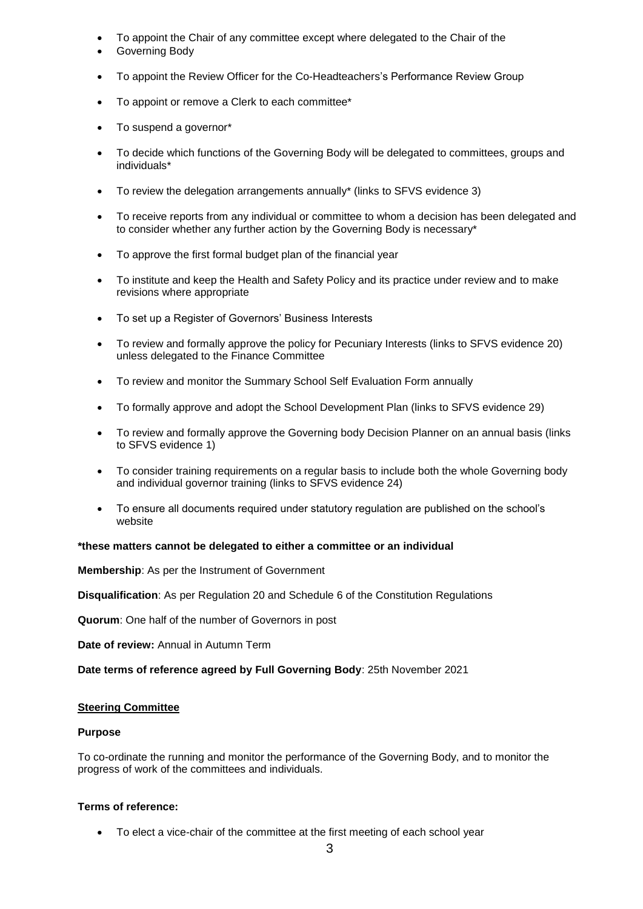- To appoint the Chair of any committee except where delegated to the Chair of the
- Governing Body
- To appoint the Review Officer for the Co-Headteachers's Performance Review Group
- To appoint or remove a Clerk to each committee\*
- To suspend a governor\*
- To decide which functions of the Governing Body will be delegated to committees, groups and individuals\*
- To review the delegation arrangements annually\* (links to SFVS evidence 3)
- To receive reports from any individual or committee to whom a decision has been delegated and to consider whether any further action by the Governing Body is necessary\*
- To approve the first formal budget plan of the financial year
- To institute and keep the Health and Safety Policy and its practice under review and to make revisions where appropriate
- To set up a Register of Governors' Business Interests
- To review and formally approve the policy for Pecuniary Interests (links to SFVS evidence 20) unless delegated to the Finance Committee
- To review and monitor the Summary School Self Evaluation Form annually
- To formally approve and adopt the School Development Plan (links to SFVS evidence 29)
- To review and formally approve the Governing body Decision Planner on an annual basis (links to SFVS evidence 1)
- To consider training requirements on a regular basis to include both the whole Governing body and individual governor training (links to SFVS evidence 24)
- To ensure all documents required under statutory regulation are published on the school's website

# **\*these matters cannot be delegated to either a committee or an individual**

**Membership**: As per the Instrument of Government

**Disqualification**: As per Regulation 20 and Schedule 6 of the Constitution Regulations

**Quorum**: One half of the number of Governors in post

**Date of review:** Annual in Autumn Term

**Date terms of reference agreed by Full Governing Body**: 25th November 2021

# **Steering Committee**

# **Purpose**

To co-ordinate the running and monitor the performance of the Governing Body, and to monitor the progress of work of the committees and individuals.

# **Terms of reference:**

To elect a vice-chair of the committee at the first meeting of each school year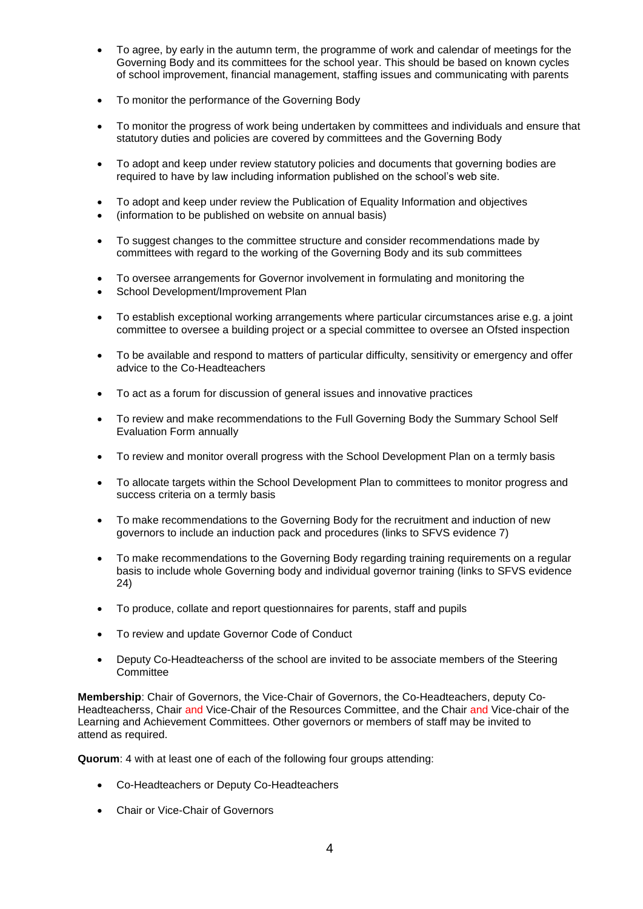- To agree, by early in the autumn term, the programme of work and calendar of meetings for the Governing Body and its committees for the school year. This should be based on known cycles of school improvement, financial management, staffing issues and communicating with parents
- To monitor the performance of the Governing Body
- To monitor the progress of work being undertaken by committees and individuals and ensure that statutory duties and policies are covered by committees and the Governing Body
- To adopt and keep under review statutory policies and documents that governing bodies are required to have by law including information published on the school's web site.
- To adopt and keep under review the Publication of Equality Information and objectives
- (information to be published on website on annual basis)
- To suggest changes to the committee structure and consider recommendations made by committees with regard to the working of the Governing Body and its sub committees
- To oversee arrangements for Governor involvement in formulating and monitoring the
- School Development/Improvement Plan
- To establish exceptional working arrangements where particular circumstances arise e.g. a joint committee to oversee a building project or a special committee to oversee an Ofsted inspection
- To be available and respond to matters of particular difficulty, sensitivity or emergency and offer advice to the Co-Headteachers
- To act as a forum for discussion of general issues and innovative practices
- To review and make recommendations to the Full Governing Body the Summary School Self Evaluation Form annually
- To review and monitor overall progress with the School Development Plan on a termly basis
- To allocate targets within the School Development Plan to committees to monitor progress and success criteria on a termly basis
- To make recommendations to the Governing Body for the recruitment and induction of new governors to include an induction pack and procedures (links to SFVS evidence 7)
- To make recommendations to the Governing Body regarding training requirements on a regular basis to include whole Governing body and individual governor training (links to SFVS evidence 24)
- To produce, collate and report questionnaires for parents, staff and pupils
- To review and update Governor Code of Conduct
- Deputy Co-Headteacherss of the school are invited to be associate members of the Steering **Committee**

**Membership**: Chair of Governors, the Vice-Chair of Governors, the Co-Headteachers, deputy Co-Headteacherss, Chair and Vice-Chair of the Resources Committee, and the Chair and Vice-chair of the Learning and Achievement Committees. Other governors or members of staff may be invited to attend as required.

**Quorum**: 4 with at least one of each of the following four groups attending:

- Co-Headteachers or Deputy Co-Headteachers
- Chair or Vice-Chair of Governors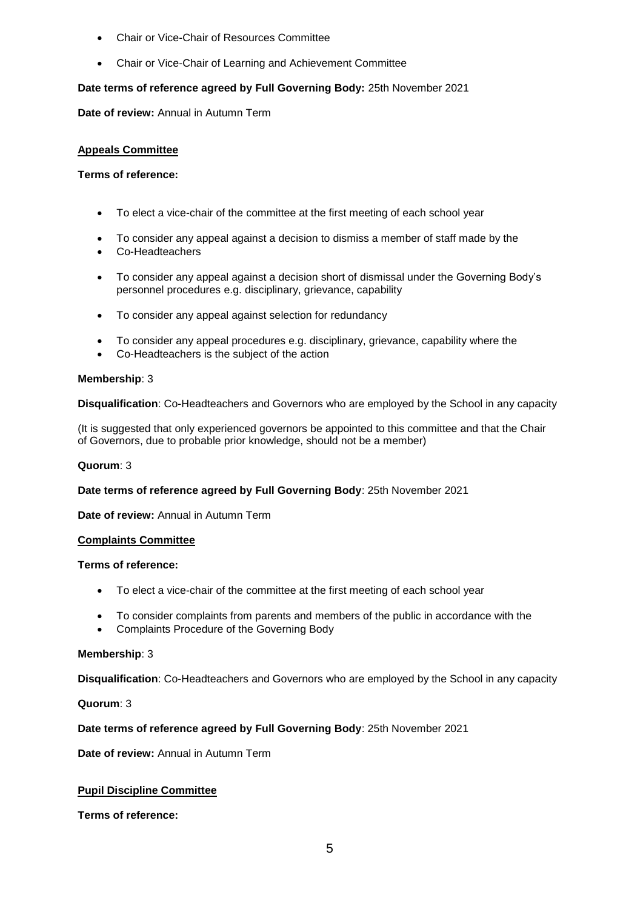- Chair or Vice-Chair of Resources Committee
- Chair or Vice-Chair of Learning and Achievement Committee

# **Date terms of reference agreed by Full Governing Body:** 25th November 2021

**Date of review:** Annual in Autumn Term

## **Appeals Committee**

### **Terms of reference:**

- To elect a vice-chair of the committee at the first meeting of each school year
- To consider any appeal against a decision to dismiss a member of staff made by the
- Co-Headteachers
- To consider any appeal against a decision short of dismissal under the Governing Body's personnel procedures e.g. disciplinary, grievance, capability
- To consider any appeal against selection for redundancy
- To consider any appeal procedures e.g. disciplinary, grievance, capability where the
- Co-Headteachers is the subject of the action

### **Membership**: 3

**Disqualification**: Co-Headteachers and Governors who are employed by the School in any capacity

(It is suggested that only experienced governors be appointed to this committee and that the Chair of Governors, due to probable prior knowledge, should not be a member)

# **Quorum**: 3

# **Date terms of reference agreed by Full Governing Body**: 25th November 2021

**Date of review:** Annual in Autumn Term

#### **Complaints Committee**

#### **Terms of reference:**

- To elect a vice-chair of the committee at the first meeting of each school year
- To consider complaints from parents and members of the public in accordance with the
- Complaints Procedure of the Governing Body

# **Membership**: 3

**Disqualification**: Co-Headteachers and Governors who are employed by the School in any capacity

**Quorum**: 3

# **Date terms of reference agreed by Full Governing Body**: 25th November 2021

**Date of review:** Annual in Autumn Term

# **Pupil Discipline Committee**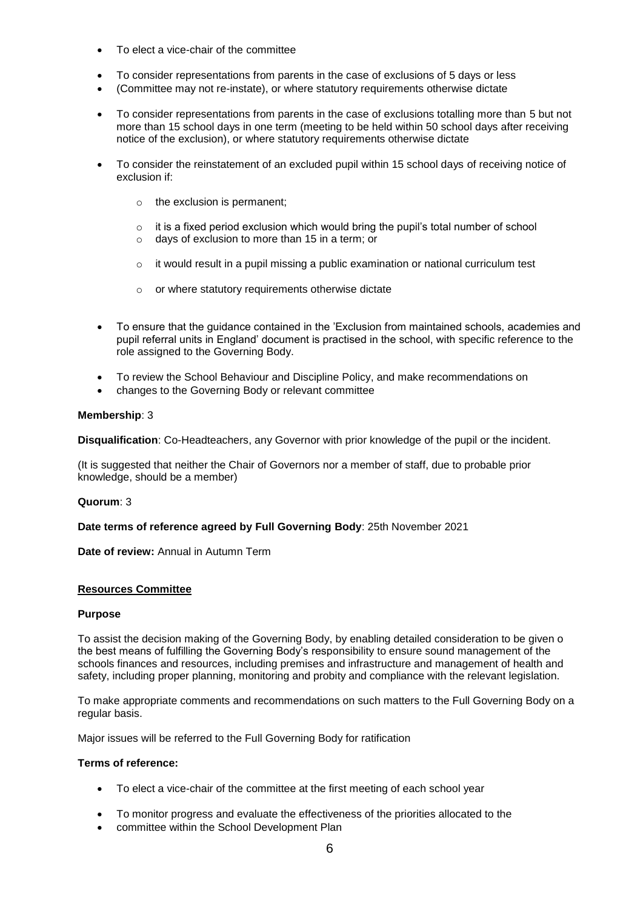- To elect a vice-chair of the committee
- To consider representations from parents in the case of exclusions of 5 days or less
- (Committee may not re-instate), or where statutory requirements otherwise dictate
- To consider representations from parents in the case of exclusions totalling more than 5 but not more than 15 school days in one term (meeting to be held within 50 school days after receiving notice of the exclusion), or where statutory requirements otherwise dictate
- To consider the reinstatement of an excluded pupil within 15 school days of receiving notice of exclusion if:
	- $\circ$  the exclusion is permanent;
	- $\circ$  it is a fixed period exclusion which would bring the pupil's total number of school
	- o days of exclusion to more than 15 in a term; or
	- $\circ$  it would result in a pupil missing a public examination or national curriculum test
	- o or where statutory requirements otherwise dictate
- To ensure that the guidance contained in the 'Exclusion from maintained schools, academies and pupil referral units in England' document is practised in the school, with specific reference to the role assigned to the Governing Body.
- To review the School Behaviour and Discipline Policy, and make recommendations on
- changes to the Governing Body or relevant committee

#### **Membership**: 3

**Disqualification**: Co-Headteachers, any Governor with prior knowledge of the pupil or the incident.

(It is suggested that neither the Chair of Governors nor a member of staff, due to probable prior knowledge, should be a member)

#### **Quorum**: 3

#### **Date terms of reference agreed by Full Governing Body**: 25th November 2021

**Date of review:** Annual in Autumn Term

### **Resources Committee**

#### **Purpose**

To assist the decision making of the Governing Body, by enabling detailed consideration to be given o the best means of fulfilling the Governing Body's responsibility to ensure sound management of the schools finances and resources, including premises and infrastructure and management of health and safety, including proper planning, monitoring and probity and compliance with the relevant legislation.

To make appropriate comments and recommendations on such matters to the Full Governing Body on a regular basis.

Major issues will be referred to the Full Governing Body for ratification

- To elect a vice-chair of the committee at the first meeting of each school year
- To monitor progress and evaluate the effectiveness of the priorities allocated to the
- committee within the School Development Plan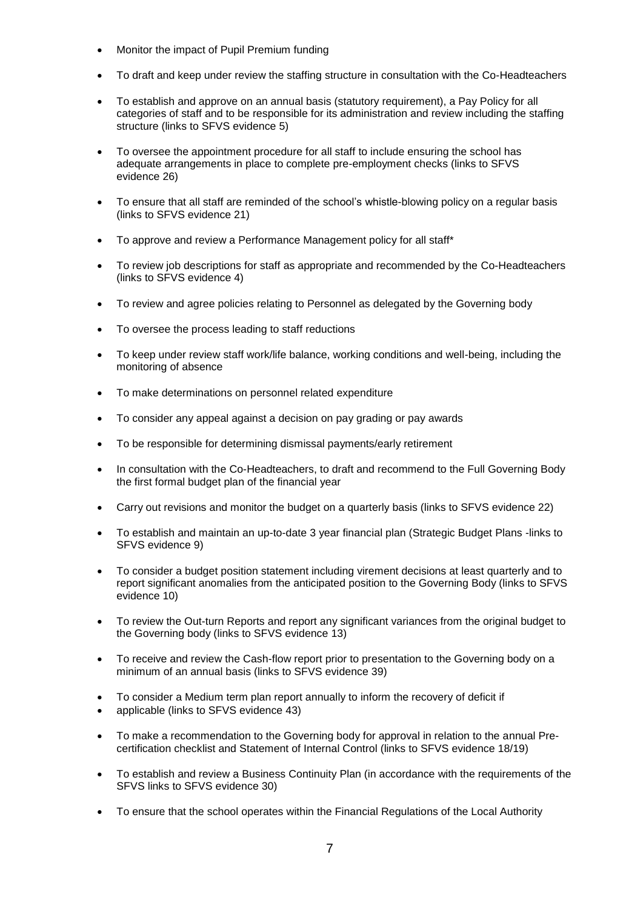- Monitor the impact of Pupil Premium funding
- To draft and keep under review the staffing structure in consultation with the Co-Headteachers
- To establish and approve on an annual basis (statutory requirement), a Pay Policy for all categories of staff and to be responsible for its administration and review including the staffing structure (links to SFVS evidence 5)
- To oversee the appointment procedure for all staff to include ensuring the school has adequate arrangements in place to complete pre-employment checks (links to SFVS evidence 26)
- To ensure that all staff are reminded of the school's whistle-blowing policy on a regular basis (links to SFVS evidence 21)
- To approve and review a Performance Management policy for all staff\*
- To review job descriptions for staff as appropriate and recommended by the Co-Headteachers (links to SFVS evidence 4)
- To review and agree policies relating to Personnel as delegated by the Governing body
- To oversee the process leading to staff reductions
- To keep under review staff work/life balance, working conditions and well-being, including the monitoring of absence
- To make determinations on personnel related expenditure
- To consider any appeal against a decision on pay grading or pay awards
- To be responsible for determining dismissal payments/early retirement
- In consultation with the Co-Headteachers, to draft and recommend to the Full Governing Body the first formal budget plan of the financial year
- Carry out revisions and monitor the budget on a quarterly basis (links to SFVS evidence 22)
- To establish and maintain an up-to-date 3 year financial plan (Strategic Budget Plans -links to SFVS evidence 9)
- To consider a budget position statement including virement decisions at least quarterly and to report significant anomalies from the anticipated position to the Governing Body (links to SFVS evidence 10)
- To review the Out-turn Reports and report any significant variances from the original budget to the Governing body (links to SFVS evidence 13)
- To receive and review the Cash-flow report prior to presentation to the Governing body on a minimum of an annual basis (links to SFVS evidence 39)
- To consider a Medium term plan report annually to inform the recovery of deficit if
- applicable (links to SFVS evidence 43)
- To make a recommendation to the Governing body for approval in relation to the annual Precertification checklist and Statement of Internal Control (links to SFVS evidence 18/19)
- To establish and review a Business Continuity Plan (in accordance with the requirements of the SFVS links to SFVS evidence 30)
- To ensure that the school operates within the Financial Regulations of the Local Authority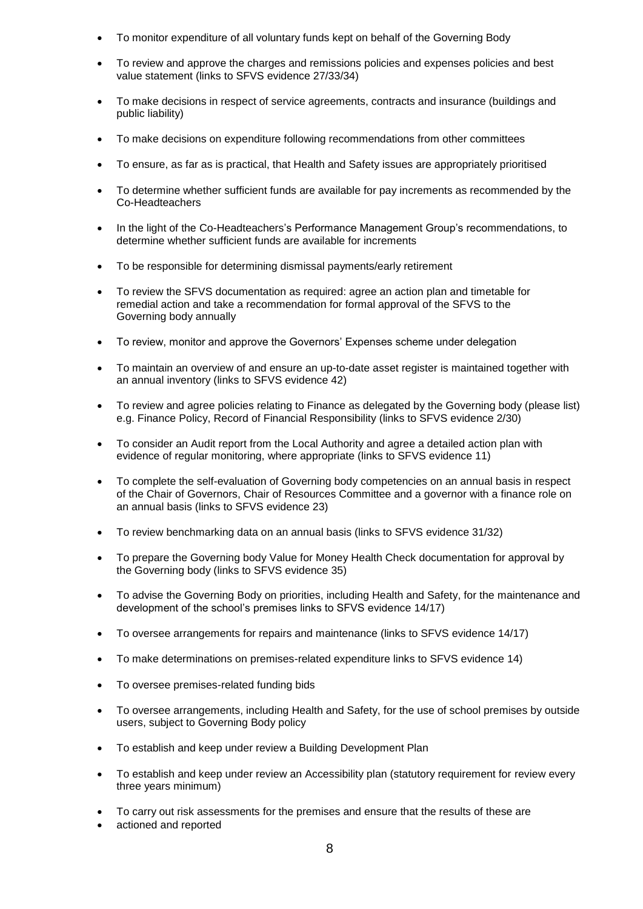- To monitor expenditure of all voluntary funds kept on behalf of the Governing Body
- To review and approve the charges and remissions policies and expenses policies and best value statement (links to SFVS evidence 27/33/34)
- To make decisions in respect of service agreements, contracts and insurance (buildings and public liability)
- To make decisions on expenditure following recommendations from other committees
- To ensure, as far as is practical, that Health and Safety issues are appropriately prioritised
- To determine whether sufficient funds are available for pay increments as recommended by the Co-Headteachers
- In the light of the Co-Headteachers's Performance Management Group's recommendations, to determine whether sufficient funds are available for increments
- To be responsible for determining dismissal payments/early retirement
- To review the SFVS documentation as required: agree an action plan and timetable for remedial action and take a recommendation for formal approval of the SFVS to the Governing body annually
- To review, monitor and approve the Governors' Expenses scheme under delegation
- To maintain an overview of and ensure an up-to-date asset register is maintained together with an annual inventory (links to SFVS evidence 42)
- To review and agree policies relating to Finance as delegated by the Governing body (please list) e.g. Finance Policy, Record of Financial Responsibility (links to SFVS evidence 2/30)
- To consider an Audit report from the Local Authority and agree a detailed action plan with evidence of regular monitoring, where appropriate (links to SFVS evidence 11)
- To complete the self-evaluation of Governing body competencies on an annual basis in respect of the Chair of Governors, Chair of Resources Committee and a governor with a finance role on an annual basis (links to SFVS evidence 23)
- To review benchmarking data on an annual basis (links to SFVS evidence 31/32)
- To prepare the Governing body Value for Money Health Check documentation for approval by the Governing body (links to SFVS evidence 35)
- To advise the Governing Body on priorities, including Health and Safety, for the maintenance and development of the school's premises links to SFVS evidence 14/17)
- To oversee arrangements for repairs and maintenance (links to SFVS evidence 14/17)
- To make determinations on premises-related expenditure links to SFVS evidence 14)
- To oversee premises-related funding bids
- To oversee arrangements, including Health and Safety, for the use of school premises by outside users, subject to Governing Body policy
- To establish and keep under review a Building Development Plan
- To establish and keep under review an Accessibility plan (statutory requirement for review every three years minimum)
- To carry out risk assessments for the premises and ensure that the results of these are
- actioned and reported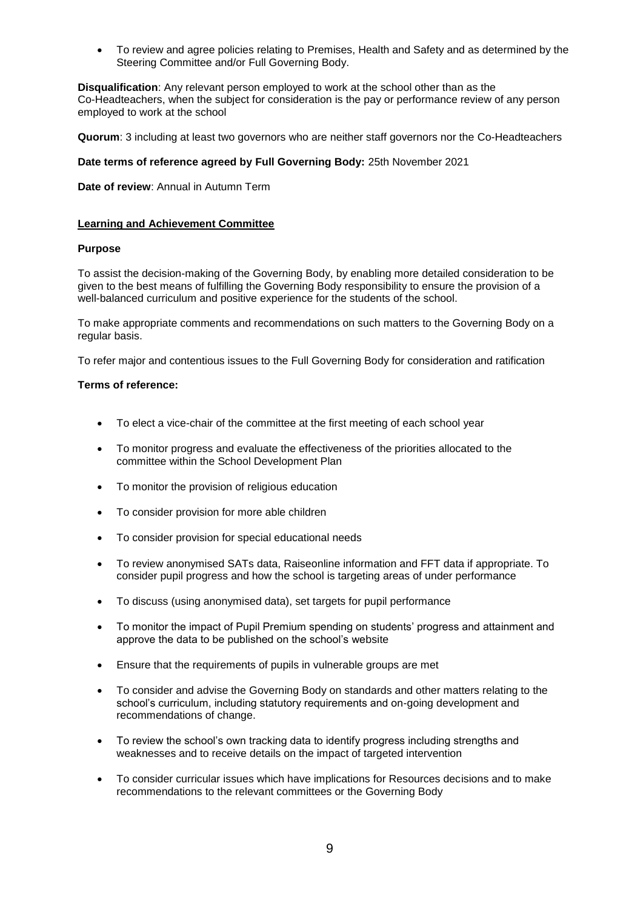To review and agree policies relating to Premises, Health and Safety and as determined by the Steering Committee and/or Full Governing Body.

**Disqualification**: Any relevant person employed to work at the school other than as the Co-Headteachers, when the subject for consideration is the pay or performance review of any person employed to work at the school

**Quorum**: 3 including at least two governors who are neither staff governors nor the Co-Headteachers

## **Date terms of reference agreed by Full Governing Body:** 25th November 2021

**Date of review**: Annual in Autumn Term

#### **Learning and Achievement Committee**

#### **Purpose**

To assist the decision-making of the Governing Body, by enabling more detailed consideration to be given to the best means of fulfilling the Governing Body responsibility to ensure the provision of a well-balanced curriculum and positive experience for the students of the school.

To make appropriate comments and recommendations on such matters to the Governing Body on a regular basis.

To refer major and contentious issues to the Full Governing Body for consideration and ratification

- To elect a vice-chair of the committee at the first meeting of each school year
- To monitor progress and evaluate the effectiveness of the priorities allocated to the committee within the School Development Plan
- To monitor the provision of religious education
- To consider provision for more able children
- To consider provision for special educational needs
- To review anonymised SATs data, Raiseonline information and FFT data if appropriate. To consider pupil progress and how the school is targeting areas of under performance
- To discuss (using anonymised data), set targets for pupil performance
- To monitor the impact of Pupil Premium spending on students' progress and attainment and approve the data to be published on the school's website
- Ensure that the requirements of pupils in vulnerable groups are met
- To consider and advise the Governing Body on standards and other matters relating to the school's curriculum, including statutory requirements and on-going development and recommendations of change.
- To review the school's own tracking data to identify progress including strengths and weaknesses and to receive details on the impact of targeted intervention
- To consider curricular issues which have implications for Resources decisions and to make recommendations to the relevant committees or the Governing Body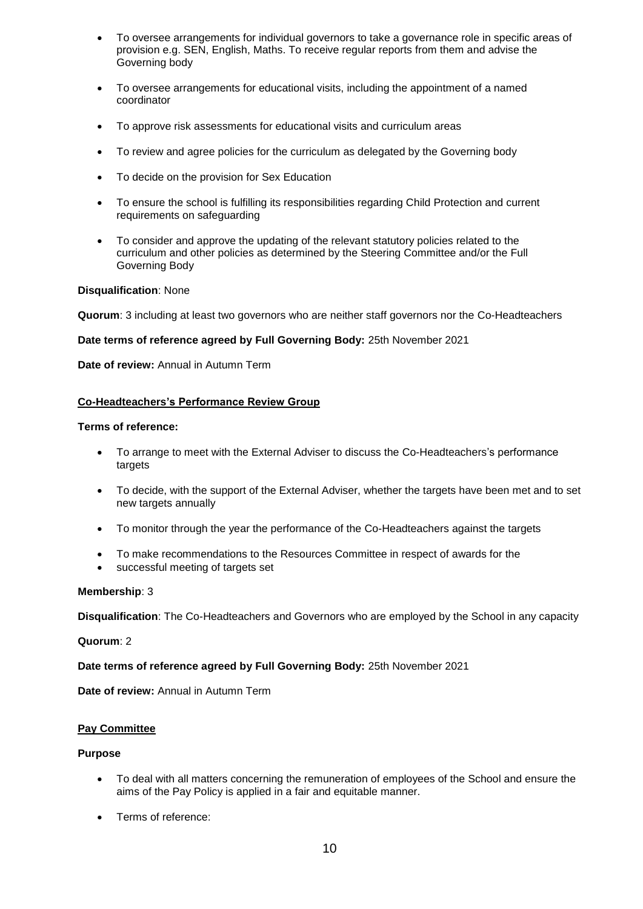- To oversee arrangements for individual governors to take a governance role in specific areas of provision e.g. SEN, English, Maths. To receive regular reports from them and advise the Governing body
- To oversee arrangements for educational visits, including the appointment of a named coordinator
- To approve risk assessments for educational visits and curriculum areas
- To review and agree policies for the curriculum as delegated by the Governing body
- To decide on the provision for Sex Education
- To ensure the school is fulfilling its responsibilities regarding Child Protection and current requirements on safeguarding
- To consider and approve the updating of the relevant statutory policies related to the curriculum and other policies as determined by the Steering Committee and/or the Full Governing Body

### **Disqualification**: None

**Quorum**: 3 including at least two governors who are neither staff governors nor the Co-Headteachers

### **Date terms of reference agreed by Full Governing Body:** 25th November 2021

**Date of review:** Annual in Autumn Term

### **Co-Headteachers's Performance Review Group**

#### **Terms of reference:**

- To arrange to meet with the External Adviser to discuss the Co-Headteachers's performance targets
- To decide, with the support of the External Adviser, whether the targets have been met and to set new targets annually
- To monitor through the year the performance of the Co-Headteachers against the targets
- To make recommendations to the Resources Committee in respect of awards for the
- successful meeting of targets set

#### **Membership**: 3

**Disqualification**: The Co-Headteachers and Governors who are employed by the School in any capacity

#### **Quorum**: 2

# **Date terms of reference agreed by Full Governing Body:** 25th November 2021

**Date of review:** Annual in Autumn Term

#### **Pay Committee**

#### **Purpose**

- To deal with all matters concerning the remuneration of employees of the School and ensure the aims of the Pay Policy is applied in a fair and equitable manner.
- Terms of reference: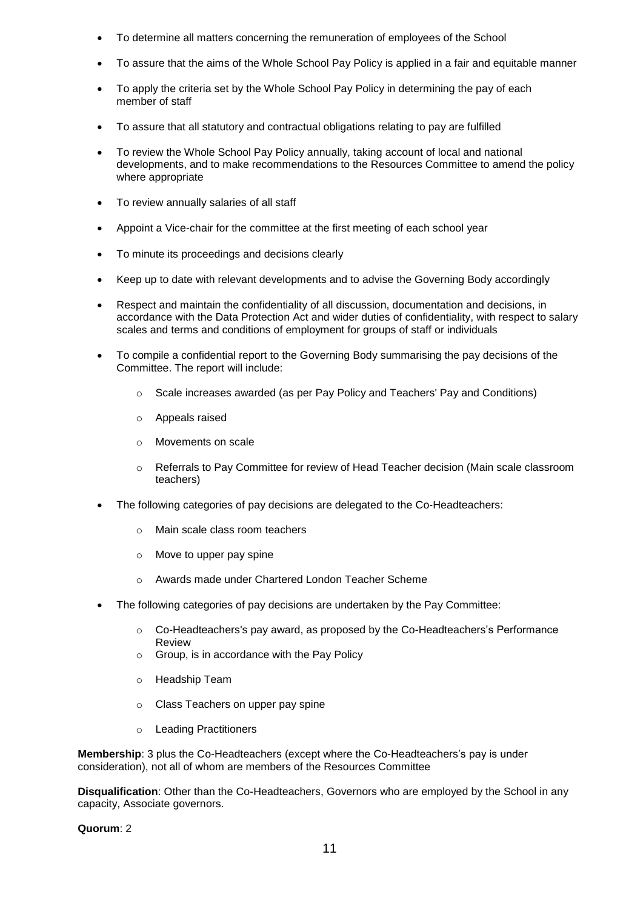- To determine all matters concerning the remuneration of employees of the School
- To assure that the aims of the Whole School Pay Policy is applied in a fair and equitable manner
- To apply the criteria set by the Whole School Pay Policy in determining the pay of each member of staff
- To assure that all statutory and contractual obligations relating to pay are fulfilled
- To review the Whole School Pay Policy annually, taking account of local and national developments, and to make recommendations to the Resources Committee to amend the policy where appropriate
- To review annually salaries of all staff
- Appoint a Vice-chair for the committee at the first meeting of each school year
- To minute its proceedings and decisions clearly
- Keep up to date with relevant developments and to advise the Governing Body accordingly
- Respect and maintain the confidentiality of all discussion, documentation and decisions, in accordance with the Data Protection Act and wider duties of confidentiality, with respect to salary scales and terms and conditions of employment for groups of staff or individuals
- To compile a confidential report to the Governing Body summarising the pay decisions of the Committee. The report will include:
	- o Scale increases awarded (as per Pay Policy and Teachers' Pay and Conditions)
	- o Appeals raised
	- o Movements on scale
	- o Referrals to Pay Committee for review of Head Teacher decision (Main scale classroom teachers)
- The following categories of pay decisions are delegated to the Co-Headteachers:
	- o Main scale class room teachers
	- o Move to upper pay spine
	- o Awards made under Chartered London Teacher Scheme
- The following categories of pay decisions are undertaken by the Pay Committee:
	- o Co-Headteachers's pay award, as proposed by the Co-Headteachers's Performance Review
	- o Group, is in accordance with the Pay Policy
	- o Headship Team
	- o Class Teachers on upper pay spine
	- o Leading Practitioners

**Membership**: 3 plus the Co-Headteachers (except where the Co-Headteachers's pay is under consideration), not all of whom are members of the Resources Committee

**Disqualification**: Other than the Co-Headteachers, Governors who are employed by the School in any capacity, Associate governors.

**Quorum**: 2